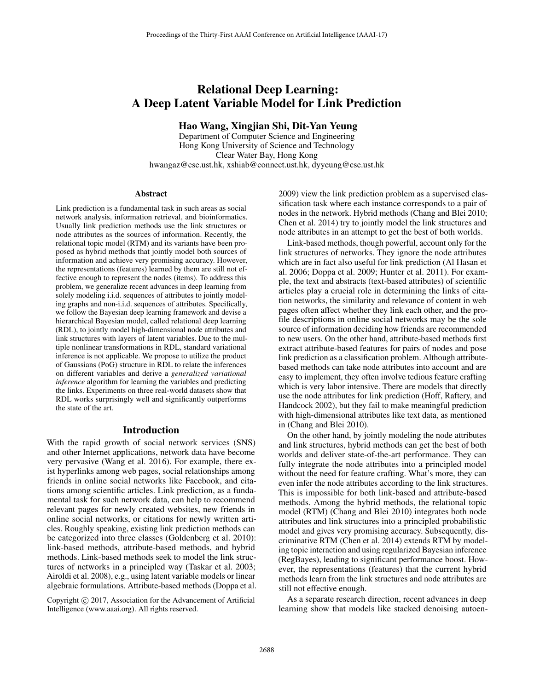# Relational Deep Learning: A Deep Latent Variable Model for Link Prediction

Hao Wang, Xingjian Shi, Dit-Yan Yeung

Department of Computer Science and Engineering Hong Kong University of Science and Technology Clear Water Bay, Hong Kong hwangaz@cse.ust.hk, xshiab@connect.ust.hk, dyyeung@cse.ust.hk

#### **Abstract**

Link prediction is a fundamental task in such areas as social network analysis, information retrieval, and bioinformatics. Usually link prediction methods use the link structures or node attributes as the sources of information. Recently, the relational topic model (RTM) and its variants have been proposed as hybrid methods that jointly model both sources of information and achieve very promising accuracy. However, the representations (features) learned by them are still not effective enough to represent the nodes (items). To address this problem, we generalize recent advances in deep learning from solely modeling i.i.d. sequences of attributes to jointly modeling graphs and non-i.i.d. sequences of attributes. Specifically, we follow the Bayesian deep learning framework and devise a hierarchical Bayesian model, called relational deep learning (RDL), to jointly model high-dimensional node attributes and link structures with layers of latent variables. Due to the multiple nonlinear transformations in RDL, standard variational inference is not applicable. We propose to utilize the product of Gaussians (PoG) structure in RDL to relate the inferences on different variables and derive a *generalized variational inference* algorithm for learning the variables and predicting the links. Experiments on three real-world datasets show that RDL works surprisingly well and significantly outperforms the state of the art.

# Introduction

With the rapid growth of social network services (SNS) and other Internet applications, network data have become very pervasive (Wang et al. 2016). For example, there exist hyperlinks among web pages, social relationships among friends in online social networks like Facebook, and citations among scientific articles. Link prediction, as a fundamental task for such network data, can help to recommend relevant pages for newly created websites, new friends in online social networks, or citations for newly written articles. Roughly speaking, existing link prediction methods can be categorized into three classes (Goldenberg et al. 2010): link-based methods, attribute-based methods, and hybrid methods. Link-based methods seek to model the link structures of networks in a principled way (Taskar et al. 2003; Airoldi et al. 2008), e.g., using latent variable models or linear algebraic formulations. Attribute-based methods (Doppa et al. 2009) view the link prediction problem as a supervised classification task where each instance corresponds to a pair of nodes in the network. Hybrid methods (Chang and Blei 2010; Chen et al. 2014) try to jointly model the link structures and node attributes in an attempt to get the best of both worlds.

Link-based methods, though powerful, account only for the link structures of networks. They ignore the node attributes which are in fact also useful for link prediction (Al Hasan et al. 2006; Doppa et al. 2009; Hunter et al. 2011). For example, the text and abstracts (text-based attributes) of scientific articles play a crucial role in determining the links of citation networks, the similarity and relevance of content in web pages often affect whether they link each other, and the profile descriptions in online social networks may be the sole source of information deciding how friends are recommended to new users. On the other hand, attribute-based methods first extract attribute-based features for pairs of nodes and pose link prediction as a classification problem. Although attributebased methods can take node attributes into account and are easy to implement, they often involve tedious feature crafting which is very labor intensive. There are models that directly use the node attributes for link prediction (Hoff, Raftery, and Handcock 2002), but they fail to make meaningful prediction with high-dimensional attributes like text data, as mentioned in (Chang and Blei 2010).

On the other hand, by jointly modeling the node attributes and link structures, hybrid methods can get the best of both worlds and deliver state-of-the-art performance. They can fully integrate the node attributes into a principled model without the need for feature crafting. What's more, they can even infer the node attributes according to the link structures. This is impossible for both link-based and attribute-based methods. Among the hybrid methods, the relational topic model (RTM) (Chang and Blei 2010) integrates both node attributes and link structures into a principled probabilistic model and gives very promising accuracy. Subsequently, discriminative RTM (Chen et al. 2014) extends RTM by modeling topic interaction and using regularized Bayesian inference (RegBayes), leading to significant performance boost. However, the representations (features) that the current hybrid methods learn from the link structures and node attributes are still not effective enough.

As a separate research direction, recent advances in deep learning show that models like stacked denoising autoen-

Copyright  $\odot$  2017, Association for the Advancement of Artificial Intelligence (www.aaai.org). All rights reserved.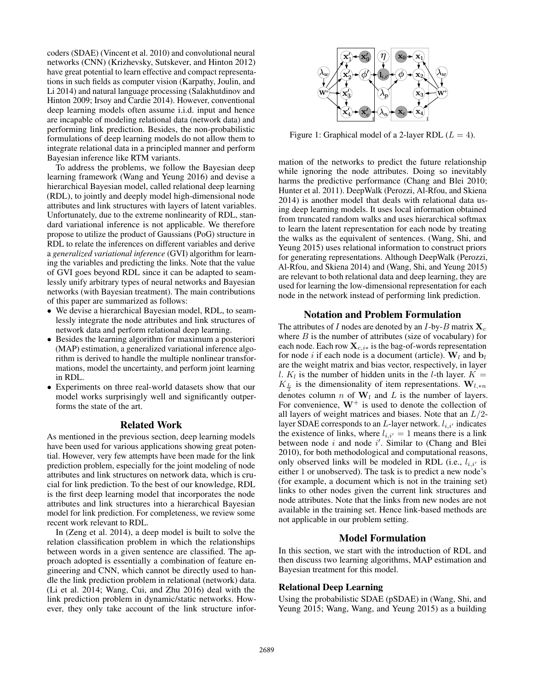coders (SDAE) (Vincent et al. 2010) and convolutional neural networks (CNN) (Krizhevsky, Sutskever, and Hinton 2012) have great potential to learn effective and compact representations in such fields as computer vision (Karpathy, Joulin, and Li 2014) and natural language processing (Salakhutdinov and Hinton 2009; Irsoy and Cardie 2014). However, conventional deep learning models often assume i.i.d. input and hence are incapable of modeling relational data (network data) and performing link prediction. Besides, the non-probabilistic formulations of deep learning models do not allow them to integrate relational data in a principled manner and perform Bayesian inference like RTM variants.

To address the problems, we follow the Bayesian deep learning framework (Wang and Yeung 2016) and devise a hierarchical Bayesian model, called relational deep learning (RDL), to jointly and deeply model high-dimensional node attributes and link structures with layers of latent variables. Unfortunately, due to the extreme nonlinearity of RDL, standard variational inference is not applicable. We therefore propose to utilize the product of Gaussians (PoG) structure in RDL to relate the inferences on different variables and derive a *generalized variational inference* (GVI) algorithm for learning the variables and predicting the links. Note that the value of GVI goes beyond RDL since it can be adapted to seamlessly unify arbitrary types of neural networks and Bayesian networks (with Bayesian treatment). The main contributions of this paper are summarized as follows:

- We devise a hierarchical Bayesian model, RDL, to seamlessly integrate the node attributes and link structures of network data and perform relational deep learning.
- Besides the learning algorithm for maximum a posteriori (MAP) estimation, a generalized variational inference algorithm is derived to handle the multiple nonlinear transformations, model the uncertainty, and perform joint learning in RDL.
- Experiments on three real-world datasets show that our model works surprisingly well and significantly outperforms the state of the art.

#### Related Work

As mentioned in the previous section, deep learning models have been used for various applications showing great potential. However, very few attempts have been made for the link prediction problem, especially for the joint modeling of node attributes and link structures on network data, which is crucial for link prediction. To the best of our knowledge, RDL is the first deep learning model that incorporates the node attributes and link structures into a hierarchical Bayesian model for link prediction. For completeness, we review some recent work relevant to RDL.

In (Zeng et al. 2014), a deep model is built to solve the relation classification problem in which the relationships between words in a given sentence are classified. The approach adopted is essentially a combination of feature engineering and CNN, which cannot be directly used to handle the link prediction problem in relational (network) data. (Li et al. 2014; Wang, Cui, and Zhu 2016) deal with the link prediction problem in dynamic/static networks. However, they only take account of the link structure infor-



Figure 1: Graphical model of a 2-layer RDL ( $L = 4$ ).

mation of the networks to predict the future relationship while ignoring the node attributes. Doing so inevitably harms the predictive performance (Chang and Blei 2010; Hunter et al. 2011). DeepWalk (Perozzi, Al-Rfou, and Skiena 2014) is another model that deals with relational data using deep learning models. It uses local information obtained from truncated random walks and uses hierarchical softmax to learn the latent representation for each node by treating the walks as the equivalent of sentences. (Wang, Shi, and Yeung 2015) uses relational information to construct priors for generating representations. Although DeepWalk (Perozzi, Al-Rfou, and Skiena 2014) and (Wang, Shi, and Yeung 2015) are relevant to both relational data and deep learning, they are used for learning the low-dimensional representation for each node in the network instead of performing link prediction.

#### Notation and Problem Formulation

The attributes of I nodes are denoted by an I-by-B matrix  $X_c$ where  $B$  is the number of attributes (size of vocabulary) for each node. Each row  $\mathbf{X}_{c,i*}$  is the bag-of-words representation for node i if each node is a document (article).  $W_l$  and  $b_l$ are the weight matrix and bias vector, respectively, in layer l.  $K_l$  is the number of hidden units in the l-th layer.  $K =$  $K_{\frac{L}{2}}$  is the dimensionality of item representations. **W**<sub>l,\*n</sub> denotes column *n* of  $W_l$  and *L* is the number of layers.<br>For convenience  $W^+$  is used to denote the collection of For convenience,  $W^+$  is used to denote the collection of all layers of weight matrices and biases. Note that an  $L/2$ layer SDAE corresponds to an L-layer network.  $l_{i,i'}$  indicates the existence of links, where  $l_{i,i'} = 1$  means there is a link<br>between node i and node i' Similar to (Chang and Blei between node  $i$  and node  $i'$ . Similar to (Chang and Blei 2010), for both methodological and computational reasons, only observed links will be modeled in RDL (i.e.,  $l_{i,i'}$  is either 1 or unobserved). The task is to predict a new node's (for example, a document which is not in the training set) links to other nodes given the current link structures and node attributes. Note that the links from new nodes are not available in the training set. Hence link-based methods are not applicable in our problem setting.

## Model Formulation

In this section, we start with the introduction of RDL and then discuss two learning algorithms, MAP estimation and Bayesian treatment for this model.

## Relational Deep Learning

Using the probabilistic SDAE (pSDAE) in (Wang, Shi, and Yeung 2015; Wang, Wang, and Yeung 2015) as a building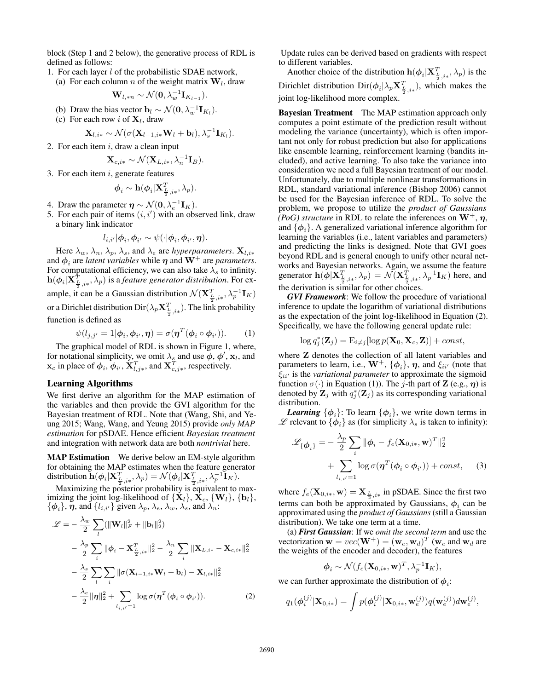block (Step 1 and 2 below), the generative process of RDL is defined as follows:

1. For each layer  $l$  of the probabilistic SDAE network, (a) For each column *n* of the weight matrix  $W_l$ , draw

$$
\mathbf{W}_{l,\ast n} \sim \mathcal{N}(\mathbf{0}, \lambda_w^{-1} \mathbf{I}_{K_{l-1}}).
$$

- (b) Draw the bias vector  $\mathbf{b}_l \sim \mathcal{N}(\mathbf{0}, \lambda_w^{-1} \mathbf{I}_{K_l}).$
- (c) For each row i of  $X<sub>l</sub>$ , draw

$$
\mathbf{X}_{l,i*} \sim \mathcal{N}(\sigma(\mathbf{X}_{l-1,i*}\mathbf{W}_{l} + \mathbf{b}_{l}), \lambda_{s}^{-1}\mathbf{I}_{K_{l}}).
$$
  
2. For each item *i*, draw a clean input

$$
\mathbf{X}_{c,i*} \sim \mathcal{N}(\mathbf{X}_{L,i*}, \lambda_n^{-1} \mathbf{I}_B).
$$

3. For each item  $i$ , generate features

$$
\boldsymbol{\phi}_i \sim \mathbf{h}(\boldsymbol{\phi}_i | \mathbf{X}_{\frac{L}{2},i*}^T, \lambda_p).
$$

- 4. Draw the parameter  $\eta \sim \mathcal{N}(\mathbf{0}, \lambda_e^{-1} \mathbf{I}_K)$ .
- 5. For each pair of items  $(i, i')$  with an observed link, draw a binary link indicator a binary link indicator

$$
l_{i,i'}|\phi_i, \phi_{i'} \sim \psi(\cdot|\phi_i, \phi_{i'}, \boldsymbol{\eta}).
$$

Here  $\lambda_w$ ,  $\lambda_n$ ,  $\lambda_p$ ,  $\lambda_s$ , and  $\lambda_e$  are *hyperparameters*. **X**<sub>*l,i\**</sub> d  $\phi$ , are *latent variables* while **n** and **W**<sup>+</sup> are *narameters* and  $\phi_i$  are *latent variables* while  $\eta$  and  $W^+$  are *parameters*. For computational efficiency, we can also take  $\lambda_s$  to infinity. **h**( $\phi_i|\mathbf{X}_{\frac{L}{2},i*}^T, \lambda_p$ ) is a *feature generator distribution*. For example, it can be a Gaussian distribution  $\mathcal{N}(\mathbf{X}_{\frac{T}{2},i*}^T, \lambda_p^{-1} \mathbf{I}_K)$ or a Dirichlet distribution  $\text{Dir}(\lambda_p \mathbf{X}_{\frac{L}{2},i*}^T)$ . The link probability function is defined as

$$
\psi(l_{j,j'} = 1 | \phi_i, \phi_{i'}, \eta) = \sigma(\eta^T(\phi_i \circ \phi_{i'})).
$$
 (1)  
The graphical model of RDL is shown in Figure 1, where,

for notational simplicity, we omit  $\lambda_s$  and use  $\phi$ ,  $\phi'$ ,  $\mathbf{x}_l$ , and  $\mathbf{x}_l$ , in place of  $\phi$ ,  $\phi'$ ,  $\mathbf{x}_l^T$ , and  $\mathbf{x}_l^T$ , respectively  $\mathbf{x}_c$  in place of  $\phi_i$ ,  $\phi_i$ ,  $\mathbf{X}_{l,j*}^T$ , and  $\mathbf{X}_{c,j*}^T$ , respectively.

### Learning Algorithms

We first derive an algorithm for the MAP estimation of the variables and then provide the GVI algorithm for the Bayesian treatment of RDL. Note that (Wang, Shi, and Yeung 2015; Wang, Wang, and Yeung 2015) provide *only MAP estimation* for pSDAE. Hence efficient *Bayesian treatment* and integration with network data are both *nontrivial* here.

MAP Estimation We derive below an EM-style algorithm for obtaining the MAP estimates when the feature generator  $\text{distribution } \mathbf{\widetilde{h}}(\boldsymbol{\phi}_i|\mathbf{X}_{\frac{L}{2},i*}^T, \lambda_p) = \mathcal{N}(\boldsymbol{\phi}_i|\mathbf{X}_{\frac{L}{2},i*}^T, \lambda_p^{-1}\mathbf{\widetilde{I}}_K).$ 

Maximizing the posterior probability is equivalent to maximizing the joint log-likelihood of  $\{\mathbf{\dot{X}}_l\}$ ,  $\mathbf{\dot{X}}_c$ ,  $\{\mathbf{W}_l\}$ ,  $\{\mathbf{b}_l\}$ ,  ${\phi_i}$ , *η*, and  ${\lbrace i_{i,i'} \rbrace}$  given  $\lambda_p$ ,  $\lambda_e$ ,  $\lambda_w$ ,  $\lambda_s$ , and  $\lambda_n$ :

$$
\mathcal{L} = -\frac{\lambda_w}{2} \sum_{l} (\|\mathbf{W}_{l}\|_{F}^{2} + \|\mathbf{b}_{l}\|_{2}^{2})
$$
  
 
$$
-\frac{\lambda_p}{2} \sum_{i} \|\boldsymbol{\phi}_{i} - \mathbf{X}_{\frac{T}{2},i*}^{T}\|_{2}^{2} - \frac{\lambda_n}{2} \sum_{i} \|\mathbf{X}_{L,i*} - \mathbf{X}_{c,i*}\|_{2}^{2}
$$
  
 
$$
-\frac{\lambda_s}{2} \sum_{l} \sum_{i} \|\sigma(\mathbf{X}_{l-1,i*} \mathbf{W}_{l} + \mathbf{b}_{l}) - \mathbf{X}_{l,i*}\|_{2}^{2}
$$
  
 
$$
-\frac{\lambda_e}{2} \|\boldsymbol{\eta}\|_{2}^{2} + \sum_{l_{i,i'}=1} \log \sigma(\boldsymbol{\eta}^{T}(\boldsymbol{\phi}_{i} \circ \boldsymbol{\phi}_{i'})). \tag{2}
$$

Update rules can be derived based on gradients with respect to different variables.

Another choice of the distribution  $h(\phi_i|\mathbf{X}_{\frac{L}{2},i*}^T, \lambda_p)$  is the Dirichlet distribution  $\text{Dir}(\phi_i|\lambda_p \mathbf{X}_{\frac{L}{2},i*}^T)$ , which makes the joint log-likelihood more complex.

Bayesian Treatment The MAP estimation approach only computes a point estimate of the prediction result without modeling the variance (uncertainty), which is often important not only for robust prediction but also for applications like ensemble learning, reinforcement learning (bandits included), and active learning. To also take the variance into consideration we need a full Bayesian treatment of our model. Unfortunately, due to multiple nonlinear transformations in RDL, standard variational inference (Bishop 2006) cannot be used for the Bayesian inference of RDL. To solve the problem, we propose to utilize the *product of Gaussians (PoG) structure* in RDL to relate the inferences on  $W^+$ , *η*, and  $\{\phi_i\}$ . A generalized variational inference algorithm for learning the variables (i.e., latent variables and parameters) and predicting the links is designed. Note that GVI goes beyond RDL and is general enough to unify other neural networks and Bayesian networks. Again, we assume the feature<br>generator  $\mathbf{h}(\phi|\mathbf{X}_{\frac{L}{2},i*}^T, \lambda_p) = \mathcal{N}(\mathbf{X}_{\frac{L}{2},i*}^T, \lambda_p^{-1}\mathbf{I}_K)$  here, and the derivation is similar for other choices.

*GVI Framework*: We follow the procedure of variational inference to update the logarithm of variational distributions as the expectation of the joint log-likelihood in Equation (2). Specifically, we have the following general update rule:

$$
\log q_j^*(\mathbf{Z}_j) = \mathrm{E}_{i \neq j}[\log p(\mathbf{X}_0, \mathbf{X}_c, \mathbf{Z})] + const,
$$

where **Z** denotes the collection of all latent variables and parameters to learn, i.e.,  $\mathbf{W}^+$ ,  $\{\phi_i\}$ ,  $\eta$ , and  $\xi_{ii'}$  (note that  $\xi_{ii'}$  is the variational parameter to approximate the sigmoid  $\xi_{ii'}$  is the *variational parameter* to approximate the sigmoid function  $\sigma(\cdot)$  in Equation (1)). The *j*-th part of **Z** (e.g.,  $\eta$ ) is denoted by  $\mathbf{Z}_j$  with  $q_j^*(\mathbf{Z}_j)$  as its corresponding variational distribution distribution.

*Learning*  $\{\phi_i\}$ : To learn  $\{\phi_i\}$ , we write down terms in  $\mathscr L$  relevant to  $\{\boldsymbol{\phi}_i\}$  as (for simplicity  $\lambda_s$  is taken to infinity):

$$
\mathcal{L}_{\{\phi_i\}} = -\frac{\lambda_p}{2} \sum_i \|\phi_i - f_e(\mathbf{X}_{0,i*}, \mathbf{w})^T\|_2^2
$$
  
+ 
$$
\sum_{l_{i,i'}=1} \log \sigma(\boldsymbol{\eta}^T(\phi_i \circ \phi_{i'})) + const,
$$
 (3)

where  $f_e(\mathbf{X}_{0,i*}, \mathbf{w}) = \mathbf{X}_{\frac{L}{2},i*}$  in pSDAE. Since the first two terms can both be approximated by Gaussians,  $\phi_i$  can be approximated using the *product of Gaussians* (still a Gaussian distribution). We take one term at a time.

(a) *First Gaussian*: If we *omit the second term* and use the vectorization  $\mathbf{w} = vec(\mathbf{W}^+) = (\mathbf{w}_e, \mathbf{w}_d)^T (\mathbf{w}_e \text{ and } \mathbf{w}_d \text{ are})$ the weights of the encoder and decoder), the features

$$
\boldsymbol{\phi}_i \sim \mathcal{N}(f_e(\mathbf{X}_{0,i*}, \mathbf{w})^T, \lambda_p^{-1} \mathbf{I}_K),
$$

we can further approximate the distribution of  $\phi$ <sub>i</sub>:

$$
q_1(\boldsymbol{\phi}_i^{(j)}|\mathbf{X}_{0,i*}) = \int p(\boldsymbol{\phi}_i^{(j)}|\mathbf{X}_{0,i*},\mathbf{w}_e^{(j)}) q(\mathbf{w}_e^{(j)}) d\mathbf{w}_e^{(j)},
$$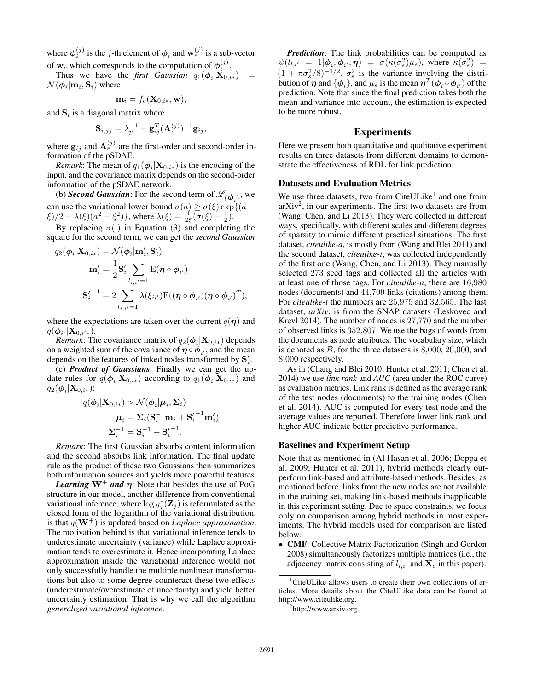where  $\phi_i^{(j)}$  is the *j*-th element of  $\phi_i$  and  $\mathbf{w}_e^{(j)}$  is a sub-vector of **w**<sub>e</sub> which corresponds to the computation of  $\phi_i^{(j)}$ .<br>Thus we have the *first Gaussian*  $a_1(\phi_i|\mathbf{X}_0)$ .

Thus we have the *first Gaussian*  $q_1(\phi_i|\mathbf{X}_{0,i*})$  $\mathcal{N}(\boldsymbol{\phi}_i|\mathbf{m}_i, \mathbf{S}_i)$  where

$$
\mathbf{m}_i = f_e(\mathbf{X}_{0,i*}, \mathbf{w}),
$$

and  $S_i$  is a diagonal matrix where

$$
\mathbf{S}_{i,jj} = \lambda_p^{-1} + \mathbf{g}_{ij}^T (\mathbf{A}_e^{(j)})^{-1} \mathbf{g}_{ij},
$$

where  $\mathbf{g}_{ij}$  and  $\mathbf{A}_e^{(j)}$  are the first-order and second-order information of the pSDAE.

*Remark*: The mean of  $q_1(\boldsymbol{\phi}_i|\mathbf{X}_{0,i*})$  is the encoding of the input, and the covariance matrix depends on the second-order information of the pSDAE network.

(b) **Second Gaussian**: For the second term of  $\mathcal{L}_{\{\phi_i\}}$ , we can use the variational lower bound  $\sigma(a) \ge \sigma(\xi) \exp\{(a - \xi)/2 - \lambda(\xi)(a^2 - \xi^2)\}\)$  where  $\lambda(\xi) = \pm(\sigma(\xi) - \xi)$  $\xi$ )/2 –  $\lambda(\xi)(a^2 - \xi^2)$ , where  $\lambda(\xi) = \frac{1}{2\xi}(\sigma(\xi) - \frac{1}{2})$ .<br>
By replacing  $\tau(\xi)$  in Equation (2) and completing

By replacing  $\sigma(\cdot)$  in Equation (3) and completing the square for the second term, we can get the *second Gaussian*

$$
q_2(\phi_i|\mathbf{X}_{0,i*}) = \mathcal{N}(\phi_i|\mathbf{m}'_i, \mathbf{S}'_i)
$$

$$
\mathbf{m}'_i = \frac{1}{2}\mathbf{S}'_i \sum_{l_{i,i'}=1} \mathbf{E}(\boldsymbol{\eta} \circ \phi_{i'})
$$

$$
\mathbf{S}'_i^{-1} = 2 \sum_{l_{i,i'}=1} \lambda(\xi_{ii'}) \mathbf{E}((\boldsymbol{\eta} \circ \phi_{i'})(\boldsymbol{\eta} \circ \phi_{i'})^T),
$$

where the expectations are taken over the current  $q(\eta)$  and  $q(\boldsymbol{\phi}_{i'}|\mathbf{X}_{0,i'*}).$ <br>*Remark*: Th

 $\phi_{i'}|X_{0,i'*}\rangle$ .<br>*Remark*: The covariance matrix of  $q_2(\phi_i|\mathbf{X}_{0,i*})$  depends<br>a weighted sum of the covariance of  $\mathbf{n} \circ \phi_{i'}$  and the mean on a weighted sum of the covariance of  $\eta \circ \phi_{i'}$ , and the mean depends on the features of linked nodes transformed by  $S_i'$ .<br>(c) **Product of Gaussians**: Finally we can get the ur

(c) *Product of Gaussians*: Finally we can get the update rules for  $q(\phi_i|\mathbf{X}_{0,i*})$  according to  $q_1(\phi_i|\mathbf{X}_{0,i*})$  and  $q_2(\boldsymbol{\phi}_i|\mathbf{X}_{0,i*})$ :

$$
q(\boldsymbol{\phi}_i|\mathbf{X}_{0,i*}) \approx \mathcal{N}(\boldsymbol{\phi}_i|\boldsymbol{\mu}_i, \boldsymbol{\Sigma}_i)
$$

$$
\boldsymbol{\mu}_i = \boldsymbol{\Sigma}_i(\mathbf{S}_i^{-1}\mathbf{m}_i + \mathbf{S}_i'^{-1}\mathbf{m}_i')
$$

$$
\boldsymbol{\Sigma}_i^{-1} = \mathbf{S}_i^{-1} + \mathbf{S}_i'^{-1}.
$$

*Remark*: The first Gaussian absorbs content information and the second absorbs link information. The final update rule as the product of these two Gaussians then summarizes both information sources and yields more powerful features.

*Learning*  $W^+$  *and*  $\eta$ : Note that besides the use of PoG structure in our model, another difference from conventional variational inference, where  $\log q_j^*(\mathbf{Z}_j)$  is reformulated as the closed form of the logarithm of the variational distribution closed form of the logarithm of the variational distribution, is that  $q(\mathbf{W}^+)$  is updated based on *Laplace approximation*. The motivation behind is that variational inference tends to underestimate uncertainty (variance) while Laplace approximation tends to overestimate it. Hence incorporating Laplace approximation inside the variational inference would not only successfully handle the multiple nonlinear transformations but also to some degree counteract these two effects (underestimate/overestimate of uncertainty) and yield better uncertainty estimation. That is why we call the algorithm *generalized variational inference*.

*Prediction*: The link probabilities can be computed as  $\psi(l_{l,l'}$ =  $1 | \phi_i, \phi_{i'}, \eta$ ) =  $\sigma(\kappa(\sigma_s^2)\mu_s)$ , where  $\kappa(\sigma_s^2)$ <br>  $\sigma^2$ ,  $\gamma$ ,  $\gamma$ ,  $\sigma^2$  is the variance involving the d  $\psi(t_{l,l'} = 1 | \phi_i, \phi_{i'}, \eta) = \sigma(\kappa(\sigma_s^2) \mu_s)$ , where  $\kappa(\sigma_s^2) = (1 + \pi \sigma_s^2/8)^{-1/2}$ ,  $\sigma_s^2$  is the variance involving the distribution of *n* and  $\{\phi_i\}$  and  $\mu_s$  is the mean  $n^T(\phi_i, \phi_{i'})$  of the bution of  $\eta$  and  $\{\phi_i\}$ , and  $\mu_s$  is the mean  $\eta^T(\phi_i \circ \phi_{i'})$  of the prediction. Note that since the final prediction takes both the prediction. Note that since the final prediction takes both the mean and variance into account, the estimation is expected to be more robust.

## Experiments

Here we present both quantitative and qualitative experiment results on three datasets from different domains to demonstrate the effectiveness of RDL for link prediction.

#### Datasets and Evaluation Metrics

We use three datasets, two from CiteULike<sup>1</sup> and one from arXiv2, in our experiments. The first two datasets are from (Wang, Chen, and Li 2013). They were collected in different ways, specifically, with different scales and different degrees of sparsity to mimic different practical situations. The first dataset, *citeulike-a*, is mostly from (Wang and Blei 2011) and the second dataset, *citeulike-t*, was collected independently of the first one (Wang, Chen, and Li 2013). They manually selected 273 seed tags and collected all the articles with at least one of those tags. For *citeulike-a*, there are 16,980 nodes (documents) and 44,709 links (citations) among them. For *citeulike-t* the numbers are 25,975 and 32,565. The last dataset, *arXiv*, is from the SNAP datasets (Leskovec and Krevl 2014). The number of nodes is 27,770 and the number of observed links is 352,807. We use the bags of words from the documents as node attributes. The vocabulary size, which is denoted as <sup>B</sup>, for the three datasets is 8,000, 20,000, and 8,000 respectively.

As in (Chang and Blei 2010; Hunter et al. 2011; Chen et al. 2014) we use *link rank* and *AUC* (area under the ROC curve) as evaluation metrics. Link rank is defined as the average rank of the test nodes (documents) to the training nodes (Chen et al. 2014). AUC is computed for every test node and the average values are reported. Therefore lower link rank and higher AUC indicate better predictive performance.

#### Baselines and Experiment Setup

Note that as mentioned in (Al Hasan et al. 2006; Doppa et al. 2009; Hunter et al. 2011), hybrid methods clearly outperform link-based and attribute-based methods. Besides, as mentioned before, links from the new nodes are not available in the training set, making link-based methods inapplicable in this experiment setting. Due to space constraints, we focus only on comparison among hybrid methods in most experiments. The hybrid models used for comparison are listed below:

• CMF: Collective Matrix Factorization (Singh and Gordon 2008) simultaneously factorizes multiple matrices (i.e., the adjacency matrix consisting of  $l_{i,i'}$  and  $\mathbf{X}_c$  in this paper).

<sup>2</sup>http://www.arxiv.org

<sup>&</sup>lt;sup>1</sup>CiteULike allows users to create their own collections of articles. More details about the CiteULike data can be found at http://www.citeulike.org.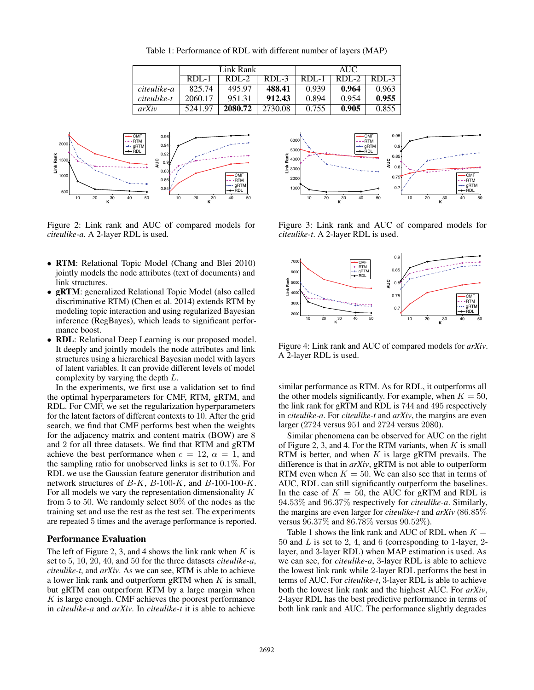Table 1: Performance of RDL with different number of layers (MAP)

|             | Link Rank |         |         | <b>AUC</b> |         |         |
|-------------|-----------|---------|---------|------------|---------|---------|
|             | $RDL-1$   | $RDL-2$ | RDL-3   | $RDL-1$    | $RDL-2$ | $RDL-3$ |
| citeulike-a | 825.74    | 495.97  | 488.41  | 0.939      | 0.964   | 0.963   |
| citeulike-t | 2060.17   | 951.31  | 912.43  | 0.894      | 0.954   | 0.955   |
| arXiv       | 5241.97   | 2080.72 | 2730.08 | 0.755      | 0.905   | 0.855   |



Figure 2: Link rank and AUC of compared models for *citeulike-a*. A 2-layer RDL is used.

- RTM: Relational Topic Model (Chang and Blei 2010) jointly models the node attributes (text of documents) and link structures.
- gRTM: generalized Relational Topic Model (also called discriminative RTM) (Chen et al. 2014) extends RTM by modeling topic interaction and using regularized Bayesian inference (RegBayes), which leads to significant performance boost.
- RDL: Relational Deep Learning is our proposed model. It deeply and jointly models the node attributes and link structures using a hierarchical Bayesian model with layers of latent variables. It can provide different levels of model complexity by varying the depth L.

In the experiments, we first use a validation set to find the optimal hyperparameters for CMF, RTM, gRTM, and RDL. For CMF, we set the regularization hyperparameters for the latent factors of different contexts to 10. After the grid search, we find that CMF performs best when the weights for the adjacency matrix and content matrix (BOW) are 8 and 2 for all three datasets. We find that RTM and gRTM achieve the best performance when  $c = 12$ ,  $\alpha = 1$ , and the sampling ratio for unobserved links is set to 0.1%. For RDL we use the Gaussian feature generator distribution and network structures of  $B-K$ ,  $B-100-K$ , and  $B-100-100-K$ . For all models we vary the representation dimensionality K from 5 to 50. We randomly select 80% of the nodes as the training set and use the rest as the test set. The experiments are repeated 5 times and the average performance is reported.

#### Performance Evaluation

The left of Figure 2, 3, and 4 shows the link rank when  $K$  is set to 5, 10, 20, 40, and 50 for the three datasets *citeulike-a*, *citeulike-t*, and *arXiv*. As we can see, RTM is able to achieve a lower link rank and outperform gRTM when  $K$  is small, but gRTM can outperform RTM by a large margin when  $K$  is large enough. CMF achieves the poorest performance in *citeulike-a* and *arXiv*. In *citeulike-t* it is able to achieve



Figure 3: Link rank and AUC of compared models for *citeulike-t*. A 2-layer RDL is used.



Figure 4: Link rank and AUC of compared models for *arXiv*. A 2-layer RDL is used.

similar performance as RTM. As for RDL, it outperforms all the other models significantly. For example, when  $K = 50$ , the link rank for gRTM and RDL is 744 and 495 respectively in *citeulike-a*. For *citeulike-t* and *arXiv*, the margins are even larger (2724 versus 951 and 2724 versus 2080).

Similar phenomena can be observed for AUC on the right of Figure 2, 3, and 4. For the RTM variants, when  $K$  is small RTM is better, and when  $K$  is large gRTM prevails. The difference is that in *arXiv*, gRTM is not able to outperform RTM even when  $K = 50$ . We can also see that in terms of AUC, RDL can still significantly outperform the baselines. In the case of  $K = 50$ , the AUC for gRTM and RDL is 94.53% and 96.37% respectively for *citeulike-a*. Similarly, the margins are even larger for *citeulike-t* and *arXiv* (86.85% versus 96.37% and 86.78% versus 90.52%).

Table 1 shows the link rank and AUC of RDL when  $K =$ 50 and  $L$  is set to 2, 4, and 6 (corresponding to 1-layer, 2layer, and 3-layer RDL) when MAP estimation is used. As we can see, for *citeulike-a*, <sup>3</sup>-layer RDL is able to achieve the lowest link rank while 2-layer RDL performs the best in terms of AUC. For *citeulike-t*, 3-layer RDL is able to achieve both the lowest link rank and the highest AUC. For *arXiv*, 2-layer RDL has the best predictive performance in terms of both link rank and AUC. The performance slightly degrades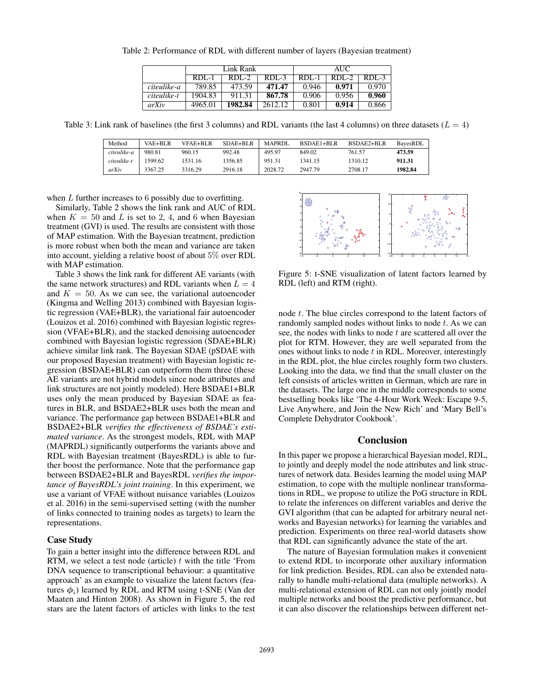|             | Link Rank |         |         | AUC     |         |           |
|-------------|-----------|---------|---------|---------|---------|-----------|
|             | $RDL-1$   | $RDL-2$ | $RDL-3$ | $RDL-1$ | $RDL-2$ | $RDL - 3$ |
| citeulike-a | 789.85    | 473.59  | 471.47  | 0.946   | 0.971   | 0.970     |
| citeulike-t | 1904.83   | 911.31  | 867.78  | 0.906   | 0.956   | 0.960     |
| arXiv       | 4965.01   | 1982.84 | 2612.12 | 0.801   | 0.914   | 0.866     |

Table 2: Performance of RDL with different number of layers (Bayesian treatment)

Table 3: Link rank of baselines (the first 3 columns) and RDL variants (the last 4 columns) on three datasets ( $L = 4$ )

| Method      | VAE+BLR | VFAE+BLR | $SDAE + BLR$ | <b>MAPRDI</b> . | BSDAE1+BLR | BSDAE2+BLR | BavesRDL |
|-------------|---------|----------|--------------|-----------------|------------|------------|----------|
| citeulike-a | 980.81  | 960.15   | 992.48       | 495.97          | 849.02     | 761.57     | 473.59   |
| citeulike-t | 1599.62 | 1531.16  | 1356.85      | 951.31          | 1341.15    | 1310.12    | 911.31   |
| arXiv       | 3367.25 | 3316.29  | 2916.18      | 2028.72         | 2947.79    | 2708.17    | 1982.84  |

when  $L$  further increases to 6 possibly due to overfitting.

Similarly, Table 2 shows the link rank and AUC of RDL when  $K = 50$  and L is set to 2, 4, and 6 when Bayesian treatment (GVI) is used. The results are consistent with those of MAP estimation. With the Bayesian treatment, prediction is more robust when both the mean and variance are taken into account, yielding a relative boost of about 5% over RDL with MAP estimation.

Table 3 shows the link rank for different AE variants (with the same network structures) and RDL variants when  $L = 4$ and  $K = 50$ . As we can see, the variational autoencoder (Kingma and Welling 2013) combined with Bayesian logistic regression (VAE+BLR), the variational fair autoencoder (Louizos et al. 2016) combined with Bayesian logistic regression (VFAE+BLR), and the stacked denoising autoencoder combined with Bayesian logistic regression (SDAE+BLR) achieve similar link rank. The Bayesian SDAE (pSDAE with our proposed Bayesian treatment) with Bayesian logistic regression (BSDAE+BLR) can outperform them three (these AE variants are not hybrid models since node attributes and link structures are not jointly modeled). Here BSDAE1+BLR uses only the mean produced by Bayesian SDAE as features in BLR, and BSDAE2+BLR uses both the mean and variance. The performance gap between BSDAE1+BLR and BSDAE2+BLR *verifies the effectiveness of BSDAE's estimated variance*. As the strongest models, RDL with MAP (MAPRDL) significantly outperforms the variants above and RDL with Bayesian treatment (BayesRDL) is able to further boost the performance. Note that the performance gap between BSDAE2+BLR and BayesRDL *verifies the importance of BayesRDL's joint training*. In this experiment, we use a variant of VFAE without nuisance variables (Louizos et al. 2016) in the semi-supervised setting (with the number of links connected to training nodes as targets) to learn the representations.

## Case Study

To gain a better insight into the difference between RDL and RTM, we select a test node (article)  $t$  with the title 'From DNA sequence to transcriptional behaviour: a quantitative approach' as an example to visualize the latent factors (features  $\phi_i$ ) learned by RDL and RTM using t-SNE (Van der Maaten and Hinton 2008). As shown in Figure 5, the red stars are the latent factors of articles with links to the test



Figure 5: t-SNE visualization of latent factors learned by RDL (left) and RTM (right).

node t. The blue circles correspond to the latent factors of randomly sampled nodes without links to node  $t$ . As we can see, the nodes with links to node  $t$  are scattered all over the plot for RTM. However, they are well separated from the ones without links to node  $t$  in RDL. Moreover, interestingly in the RDL plot, the blue circles roughly form two clusters. Looking into the data, we find that the small cluster on the left consists of articles written in German, which are rare in the datasets. The large one in the middle corresponds to some bestselling books like 'The 4-Hour Work Week: Escape 9-5, Live Anywhere, and Join the New Rich' and 'Mary Bell's Complete Dehydrator Cookbook'.

# Conclusion

In this paper we propose a hierarchical Bayesian model, RDL, to jointly and deeply model the node attributes and link structures of network data. Besides learning the model using MAP estimation, to cope with the multiple nonlinear transformations in RDL, we propose to utilize the PoG structure in RDL to relate the inferences on different variables and derive the GVI algorithm (that can be adapted for arbitrary neural networks and Bayesian networks) for learning the variables and prediction. Experiments on three real-world datasets show that RDL can significantly advance the state of the art.

The nature of Bayesian formulation makes it convenient to extend RDL to incorporate other auxiliary information for link prediction. Besides, RDL can also be extended naturally to handle multi-relational data (multiple networks). A multi-relational extension of RDL can not only jointly model multiple networks and boost the predictive performance, but it can also discover the relationships between different net